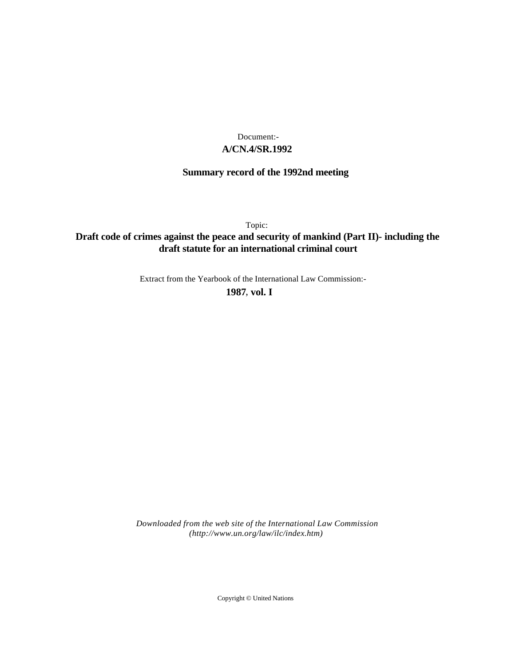# **A/CN.4/SR.1992** Document:-

# **Summary record of the 1992nd meeting**

Topic:

# **Draft code of crimes against the peace and security of mankind (Part II)- including the draft statute for an international criminal court**

Extract from the Yearbook of the International Law Commission:-

**1987** , **vol. I**

*Downloaded from the web site of the International Law Commission (http://www.un.org/law/ilc/index.htm)*

Copyright © United Nations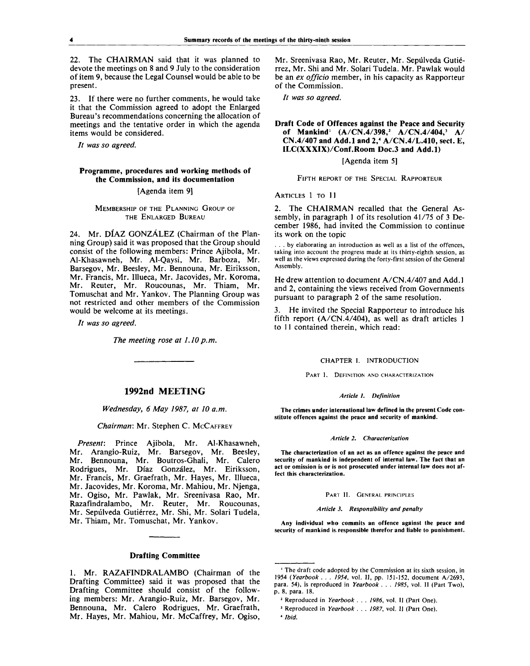22. The CHAIRMAN said that it was planned to devote the meetings on 8 and 9 July to the consideration of item 9, because the Legal Counsel would be able to be present.

23. If there were no further comments, he would take it that the Commission agreed to adopt the Enlarged Bureau's recommendations concerning the allocation of meetings and the tentative order in which the agenda items would be considered.

// *was so agreed.*

### **Programme, procedures and working methods of the Commission, and its documentation**

## [Agenda item 9]

### MEMBERSHIP OF THE PLANNING GROUP OF THE ENLARGED BUREAU

24. Mr. DÍAZ GONZÁLEZ (Chairman of the Planning Group) said it was proposed that the Group should consist of the following members: Prince Ajibola, Mr. Al-Khasawneh, Mr. Al-Qaysi, Mr. Barboza, Mr. Barsegov, Mr. Beesley, Mr. Bennouna, Mr. Eiriksson, Mr. Francis, Mr. Illueca, Mr. Jacovides, Mr. Koroma, Mr. Reuter, Mr. Roucounas, Mr. Thiam, Mr. Tomuschat and Mr. Yankov. The Planning Group was not restricted and other members of the Commission would be welcome at its meetings.

*It was so agreed.*

*The meeting rose at 1.10 p.m.* 

# **1992nd MEETING**

*Wednesday, 6 May 1987, at 10 a.m.*

*Chairman:* Mr. Stephen C. MCCAFFREY

*Present:* Prince Ajibola, Mr. Al-Khasawneh, Mr. Arangio-Ruiz, Mr. Barsegov, Mr. Beesley, Mr. Bennouna, Mr. Boutros-Ghali, Mr. Calero Rodrigues, Mr. Diaz Gonzalez, Mr. Eiriksson, Mr. Francis, Mr. Graefrath, Mr. Hayes, Mr. Illueca, Mr. Jacovides, Mr. Koroma, Mr. Mahiou, Mr. Njenga, Mr. Ogiso, Mr. Pawlak, Mr. Sreenivasa Rao, Mr. Razafindralambo, Mr. Reuter, Mr. Roucounas, Mr. Sepiilveda Gutierrez, Mr. Shi, Mr. Solari Tudela, Mr. Thiam, Mr. Tomuschat, Mr. Yankov.

## **Drafting Committee**

**1.** Mr. RAZAFINDRALAMBO (Chairman of the Drafting Committee) said it was proposed that the Drafting Committee should consist of the following members: Mr. Arangio-Ruiz, Mr. Barsegov, Mr. Bennouna, Mr. Calero Rodrigues, Mr. Graefrath, Mr. Hayes, Mr. Mahiou, Mr. McCaffrey, Mr. Ogiso,

Mr. Sreenivasa Rao, Mr. Reuter, Mr. Sepiilveda Gutierrez, Mr. Shi and Mr. Solari Tudela. Mr. Pawlak would be an *ex officio* member, in his capacity as Rapporteur of the Commission.

*It was so agreed.*

### **Draft Code of Offences against the Peace and Security of Mankind<sup>1</sup> (A/CN.4/398,<sup>2</sup> A/CN.4/404,<sup>3</sup> A/ CN.4/407 and Add.l and 2,<sup>4</sup> A/CN.4/L.410, sect. E, ILC(XXXIX)/Conf.Room Doc.3 and Add.l)**

[Agenda item 5]

FIFTH REPORT OF THE SPECIAL RAPPORTEUR

ARTICLES 1 TO 11

2. The CHAIRMAN recalled that the General Assembly, in paragraph 1 of its resolution 41/75 of 3 December 1986, had invited the Commission to continue its work on the topic

. by elaborating an introduction as well as a list of the offences, taking into account the progress made at its thirty-eighth session, as well as the views expressed during the forty-first session of the General Assembly.

He drew attention to document A/CN.4/407 and Add.l and 2, containing the views received from Governments pursuant to paragraph 2 of the same resolution.

3. He invited the Special Rapporteur to introduce his fifth report (A/CN.4/404), as well as draft articles 1 to 11 contained therein, which read:

#### CHAPTER I. INTRODUCTION

PART I. DEFINITION AND CHARACTERIZATION

#### *Article 1. Definition*

**The crimes under international law defined in the present Code constitute offences against the peace and security of mankind.**

### *Article 2. Characterization*

**The characterization of an act as an offence against the peace and security of mankind is independent of internal law. The fact that an act or omission is or is not prosecuted under internal law does not affect this characterization.**

#### PART II. GENERAL PRINCIPLES

*Article 3. Responsibility and penalty*

**Any individual who commits an offence against the peace and security of mankind is responsible therefor and liable to punishment.**

<sup>1</sup> The draft code adopted by the Commission at its sixth session, in 1954 *(Yearbook . . . 1954,* vol. II, pp. 151-152, document A/2693, para. 54), is reproduced in *Yearbook . . . 1985,* vol. II (Part Two), p. 8, para. 18.

<sup>2</sup> Reproduced in *Yearbook . . . 1986,* vol. II (Part One).

<sup>3</sup> Reproduced in *Yearbook . . . 1987,* vol. II (Part One).

<sup>4</sup>  *Ibid.*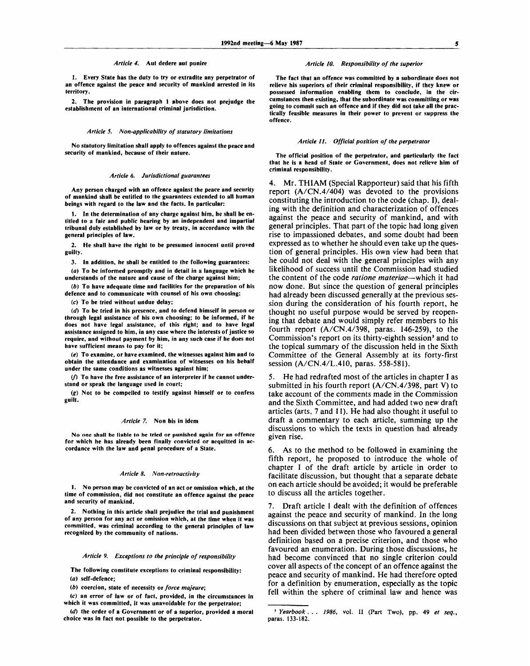#### *Article 4.* **Aut dedere aut punire**

**1. Every State has the duty to try or extradite any perpetrator of an offence against the peace and security of mankind arrested in its territory.**

**2. The provision in paragraph 1 above does not prejudge the establishment of an international criminal jurisdiction.**

#### *Article* **5.** *Non-applicability of statutory limitations*

**No statutory limitation shall apply to offences against the peace and security of mankind, because of their nature.**

### *Article 6. Jurisdictional guarantees*

**Any person charged with an offence against the peace and security of mankind shall be entitled to the guarantees extended to all human beings with regard to the law and the facts. In particular:**

**1. In the determination of any charge against him, he shall be entitled to a fair and public hearing by an independent and impartial tribunal duly established by law or by treaty, in accordance with the general principles of law.**

**2. He shall have the right to be presumed innocent until proved guilty.**

**3. In addition, he shall be entitled to the following guarantees:**

**(a) To be informed promptly and in detail in a language which he understands of the nature and cause of the charge against him;**

*(b)* **To have adequate time and facilities for the preparation of his defence and to communicate with counsel of his own choosing;**

**(c) To be tried without undue delay;**

*(d)* **To be tried in his presence, and to defend himself in person or through legal assistance of his own choosing; to be informed, if he does not have legal assistance, of this right; and to have legal assistance assigned to him, in any case where the interests of justice so require, and without payment by him, in any such case if he does not have sufficient means to pay for it;**

*(e)* **To examine, or have examined, the witnesses against him and to obtain the attendance and examination of witnesses on his behalf under the same conditions as witnesses against him;**

*if)* **To have the free assistance of an interpreter if he cannot understand or speak the language used in court;**

*(g)* **Not to be compelled to testify against himself or to confess guilt.**

#### *Article* **7. Non bis in idem**

**No one shall be liable to be tried or punished again for an offence for which he has already been finally convicted or acquitted in accordance with the law and penal procedure of a State.**

#### *Article 8. Non-retroactivity*

**1. No person may be convicted of an act or omission which, at the time of commission, did not constitute an offence against the peace and security of mankind.**

**2. Nothing in this article shall prejudice the trial and punishment of any person for any act or omission which, at the time when it was committed, was criminal according to the general principles of law recognized by the community of nations.**

#### *Article 9. Exceptions to the principle of responsibility*

**The following constitute exceptions to criminal responsibility:** *(a)* **self-defence;**

*(b)* **coercion, state of necessity or** *force majeure;*

**(c) an error of law or of fact, provided, in the circumstances in which it was committed, it was unavoidable for the perpetrator;**

*(d)* **the order of a Government or of a superior, provided a moral choice was in fact not possible to the perpetrator.**

#### *Article 10. Responsibility of the superior*

**The fact that an offence was committed by a subordinate does not relieve his superiors of their criminal responsibility, if they knew or possessed information enabling them to conclude, in the circumstances then existing, that the subordinate was committing or was going to commit such an offence and if they did not take all the practically feasible measures in their power to prevent or suppress the offence.**

#### *Article 11. Official position of the perpetrator*

**The official position of the perpetrator, and particularly the fact that he is a head of State or Government, does not relieve him of criminal responsibility.**

4. Mr. THIAM (Special Rapporteur) said that his fifth report (A/CN.4/404) was devoted to the provisions constituting the introduction to the code (chap. I), dealing with the definition and characterization of offences against the peace and security of mankind, and with general principles. That part of the topic had long given rise to impassioned debates, and some doubt had been expressed as to whether he should even take up the question of general principles. His own view had been that he could not deal with the general principles with any likelihood of success until the Commission had studied the content of the code *ratione materiae*—which it had now done. But since the question of general principles had already been discussed generally at the previous session during the consideration of his fourth report, he thought no useful purpose would be served by reopening that debate and would simply refer members to his fourth report (A/CN.4/398, paras. 146-259), to the Commission's report on its thirty-eighth session' and to the topical summary of the discussion held in the Sixth Committee of the General Assembly at its forty-first session (A/CN.4/L.410, paras. 558-581).

5. He had redrafted most of the articles in chapter I as submitted in his fourth report (A/CN.4/398, part V) to take account of the comments made in the Commission and the Sixth Committee, and had added two new draft articles (arts. 7 and 11). He had also thought it useful to draft a commentary to each article, summing up the discussions to which the texts in question had already given rise.

6. As to the method to be followed in examining the fifth report, he proposed to introduce the whole of chapter I of the draft article by article in order to facilitate discussion, but thought that a separate debate on each article should be avoided; it would be preferable to discuss all the articles together.

7. Draft article 1 dealt with the definition of offences against the peace and security of mankind. In the long discussions on that subject at previous sessions, opinion had been divided between those who favoured a general definition based on a precise criterion, and those who favoured an enumeration. During those discussions, he had become convinced that no single criterion could cover all aspects of the concept of an offence against the peace and security of mankind. He had therefore opted for a definition by enumeration, especially as the topic fell within the sphere of criminal law and hence was

**<sup>5</sup>**  *Yearbook. . . 1986,* **vol. II (Part Two), pp. 49** *et seq.,* **paras. 133-182.**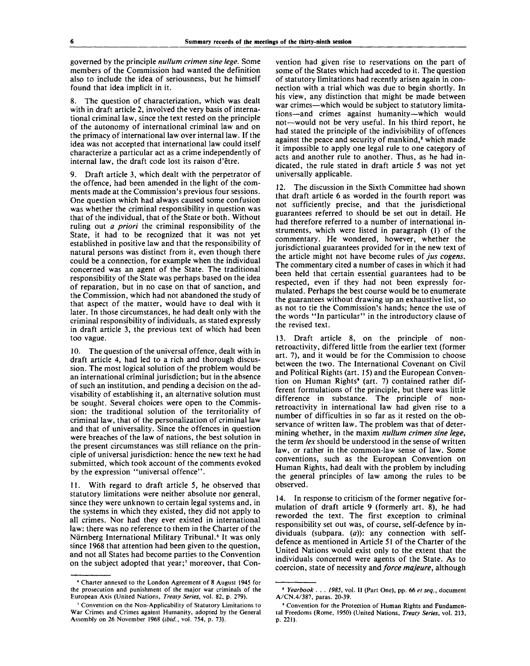governed by the principle *nullum crimen sine lege.* Some members of the Commission had wanted the definition also to include the idea of seriousness, but he himself found that idea implicit in it.

8. The question of characterization, which was dealt with in draft article 2, involved the very basis of international criminal law, since the text rested on the principle of the autonomy of international criminal law and on the primacy of international law over internal law. If the idea was not accepted that international law could itself characterize a particular act as a crime independently of internal law, the draft code lost its raison d'etre.

9. Draft article 3, which dealt with the perpetrator of the offence, had been amended in the light of the comments made at the Commission's previous four sessions. One question which had always caused some confusion was whether the criminal responsibility in question was that of the individual, that of the State or both. Without ruling out *a priori* the criminal responsibility of the State, it had to be recognized that it was not yet established in positive law and that the responsibility of natural persons was distinct from it, even though there could be a connection, for example when the individual concerned was an agent of the State. The traditional responsibility of the State was perhaps based on the idea of reparation, but in no case on that of sanction, and the Commission, which had not abandoned the study of that aspect of the matter, would have to deal with it later. In those circumstances, he had dealt only with the criminal responsibility of individuals, as stated expressly in draft article 3, the previous text of which had been too vague.

10. The question of the universal offence, dealt with in draft article 4, had led to a rich and thorough discussion. The most logical solution of the problem would be an international criminal jurisdiction; but in the absence of such an institution, and pending a decision on the advisability of establishing it, an alternative solution must be sought. Several choices were open to the Commission: the traditional solution of the territoriality of criminal law, that of the personalization of criminal law and that of universality. Since the offences in question were breaches of the law of nations, the best solution in the present circumstances was still reliance on the principle of universal jurisdiction: hence the new text he had submitted, which took account of the comments evoked by the expression "universal offence".

11. With regard to draft article 5, he observed that statutory limitations were neither absolute nor general, since they were unknown to certain legal systems and, in the systems in which they existed, they did not apply to all crimes. Nor had they ever existed in international law: there was no reference to them in the Charter of the Niirnberg International Military Tribunal.<sup>6</sup> It was only since 1968 that attention had been given to the question, and not all States had become parties to the Convention on the subject adopted that year;<sup>7</sup> moreover, that Con-

vention had given rise to reservations on the part of some of the States which had acceded to it. The question of statutory limitations had recently arisen again in connection with a trial which was due to begin shortly. In his view, any distinction that might be made between war crimes—which would be subject to statutory limitations—and crimes against humanity—which would not—would not be very useful. In his third report, he had stated the principle of the indivisibility of offences against the peace and security of mankind,<sup>8</sup> which made it impossible to apply one legal rule to one category of acts and another rule to another. Thus, as he had indicated, the rule stated in draft article 5 was not yet universally applicable.

12. The discussion in the Sixth Committee had shown that draft article 6 as worded in the fourth report was not sufficiently precise, and that the jurisdictional guarantees referred to should be set out in detail. He had therefore referred to a number of international instruments, which were listed in paragraph (1) of the commentary. He wondered, however, whether the jurisdictional guarantees provided for in the new text of the article might not have become rules of *jus cogens.* The commentary cited a number of cases in which it had been held that certain essential guarantees had to be respected, even if they had not been expressly formulated. Perhaps the best course would be to enumerate the guarantees without drawing up an exhaustive list, so as not to tie the Commission's hands; hence the use of the words "In particular" in the introductory clause of the revised text.

13. Draft article 8, on the principle of nonretroactivity, differed little from the earlier text (former art. 7), and it would be for the Commission to choose between the two. The International Covenant on Civil and Political Rights (art. 15) and the European Convention on Human Rights<sup>9</sup> (art. 7) contained rather different formulations of the principle, but there was little difference in substance. The principle of nonretroactivity in international law had given rise to a number of difficulties in so far as it rested on the observance of written law. The problem was that of determining whether, in the maxim *nullum crimen sine lege,* the term *lex* should be understood in the sense of written law, or rather in the common-law sense of law. Some conventions, such as the European Convention on Human Rights, had dealt with the problem by including the general principles of law among the rules to be observed.

14. In response to criticism of the former negative formulation of draft article 9 (formerly art. 8), he had reworded the text. The first exception to criminal responsibility set out was, of course, self-defence by individuals (subpara.  $(a)$ ): any connection with selfdefence as mentioned in Article 51 of the Charter of the United Nations would exist only to the extent that the individuals concerned were agents of the State. As to coercion, state of necessity and *force majeure,* although

<sup>\*</sup> Charter annexed to the London Agreement of 8 August 1945 for the prosecution and punishment of the major war criminals of the European Axis (United Nations, *Treaty Series,* vol. 82, p. 279).

<sup>7</sup> Convention on the Non-Applicability of Statutory Limitations to War Crimes and Crimes against Humanity, adopted by the General Assembly on 26 November 1968 *(ibid.,* vol. 754, p. 73).

<sup>•</sup> *Yearbook* . . . *1985,* vol. II (Part One), pp. 66 *etseq.,* document A/CN.4/387, paras. 20-39.

<sup>&#</sup>x27; Convention for the Protection of Human Rights and Fundamental Freedoms (Rome, 1950) (United Nations, *Treaty Series,* vol. 213, p. 221).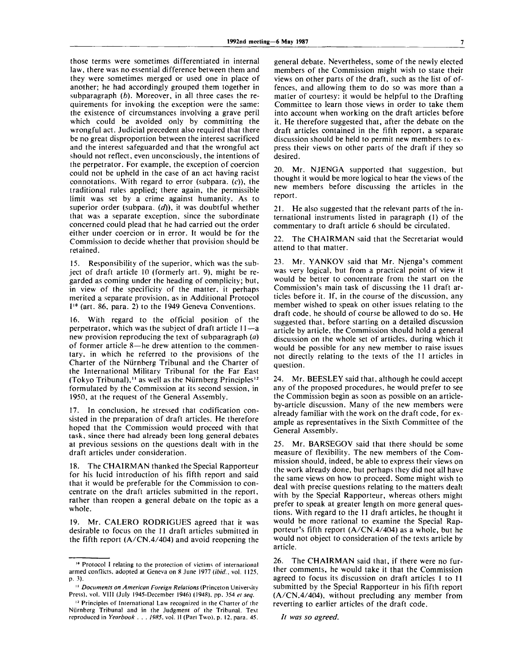those terms were sometimes differentiated in internal law, there was no essential difference between them and they were sometimes merged or used one in place of another; he had accordingly grouped them together in subparagraph *(b).* Moreover, in all three cases the requirements for invoking the exception were the same: the existence of circumstances involving a grave peril which could be avoided only by committing the wrongful act. Judicial precedent also required that there be no great disproportion between the interest sacrificed and the interest safeguarded and that the wrongful act should not reflect, even unconsciously, the intentions of the perpetrator. For example, the exception of coercion could not be upheld in the case of an act having racist connotations. With regard to error (subpara.  $(c)$ ), the traditional rules applied; there again, the permissible limit was set by a crime against humanity. As to superior order (subpara. *(d)),* it was doubtful whether that was a separate exception, since the subordinate concerned could plead that he had carried out the order either under coercion or in error. It would be for the Commission to decide whether that provision should be retained.

15. Responsibility of the superior, which was the subject of draft article 10 (formerly art. 9), might be regarded as coming under the heading of complicity; but, in view of the specificity of the matter, it perhaps merited a separate provision, as in Additional Protocol I 10 (art. 86, para. 2) to the 1949 Geneva Conventions.

16. With regard to the official position of the perpetrator, which was the subject of draft article 11—a new provision reproducing the text of subparagraph *(a)* of former article 8—he drew attention to the commentary, in which he referred to the provisions of the Charter of the Niirnberg Tribunal and the Charter of the International Military Tribunal for the Far East (Tokyo Tribunal),<sup> $\mu$ </sup> as well as the Nürnberg Principles<sup>12</sup> formulated by the Commission at its second session, in 1950, at the request of the General Assembly.

17. In conclusion, he stressed that codification consisted in the preparation of draft articles. He therefore hoped that the Commission would proceed with that task, since there had already been long general debates at previous sessions on the questions dealt with in the draft articles under consideration.

18. The CHAIRMAN thanked the Special Rapporteur for his lucid introduction of his fifth report and said that it would be preferable for the Commission to concentrate on the draft articles submitted in the report, rather than reopen a general debate on the topic as a whole.

19. Mr. CALERO RODRIGUES agreed that it was desirable to focus on the 11 draft articles submitted in the fifth report (A/CN.4/404) and avoid reopening the general debate. Nevertheless, some of the newly elected members of the Commission might wish to state their views on other parts of the draft, such as the list of offences, and allowing them to do so was more than a matter of courtesy: it would be helpful to the Drafting Committee to learn those views in order to take them into account when working on the draft articles before it. He therefore suggested that, after the debate on the draft articles contained in the fifth report, a separate discussion should be held to permit new members to express their views on other parts of the draft if they so desired.

20. Mr. NJENGA supported that suggestion, but thought it would be more logical to hear the views of the new members before discussing the articles in the report.

21. He also suggested that the relevant parts of the international instruments listed in paragraph (1) of the commentary to draft article 6 should be circulated.

22. The CHAIRMAN said that the Secretariat would attend to that matter.

23. Mr. YANKOV said that Mr. Njenga's comment was very logical, but from a practical point of view it would be better to concentrate from the start on the Commission's main task of discussing the 11 draft articles before it. If, in the course of the discussion, any member wished to speak on other issues relating to the draft code, he should of course be allowed to do so. He suggested that, before starting on a detailed discussion article by article, the Commission should hold a general discussion on the whole set of articles, during which it would be possible for any new member to raise issues not directly relating to the texts of the 11 articles in question.

24. Mr. BEESLEY said that, although he could accept any of the proposed procedures, he would prefer to see the Commission begin as soon as possible on an articleby-article discussion. Many of the new members were already familiar with the work on the draft code, for example as representatives in the Sixth Committee of the General Assembly.

25. Mr. BARSEGOV said that there should be some measure of flexibility. The new members of the Commission should, indeed, be able to express their views on the work already done, but perhaps they did not all have the same views on how to proceed. Some might wish to deal with precise questions relating to the matters dealt with by the Special Rapporteur, whereas others might prefer to speak at greater length on more general questions. With regard to the 11 draft articles, he thought it would be more rational to examine the Special Rapporteur's fifth report  $(A/CN.4/404)$  as a whole, but he would not object to consideration of the texts article by article.

26. The CHAIRMAN said that, if there were no further comments, he would take it that the Commission agreed to focus its discussion on draft articles 1 to 11 submitted by the Special Rapporteur in his fifth report (A/CN.4/404), without precluding any member from reverting to earlier articles of the draft code.

// *was so agreed.*

<sup>10</sup> Protocol 1 relating to the protection of victims of international armed conflicts, adopted at Geneva on 8 June 1977 *(ibid.,* vol. 1125, p. 3).

<sup>&</sup>quot; *Documents on American Foreign Relations* (Princeton University Press), vol. **VIII** (July 1945-December 1946) (1948), pp. 354 *et seq.*

<sup>&</sup>lt;sup>12</sup> Principles of International Law recognized in the Charter of the Niirnberg Tribunal and in the Judgment of the Tribunal. Text reproduced in *Yearbook . . . 1985.* vol. II (Part Two), p. 12, para. 45.